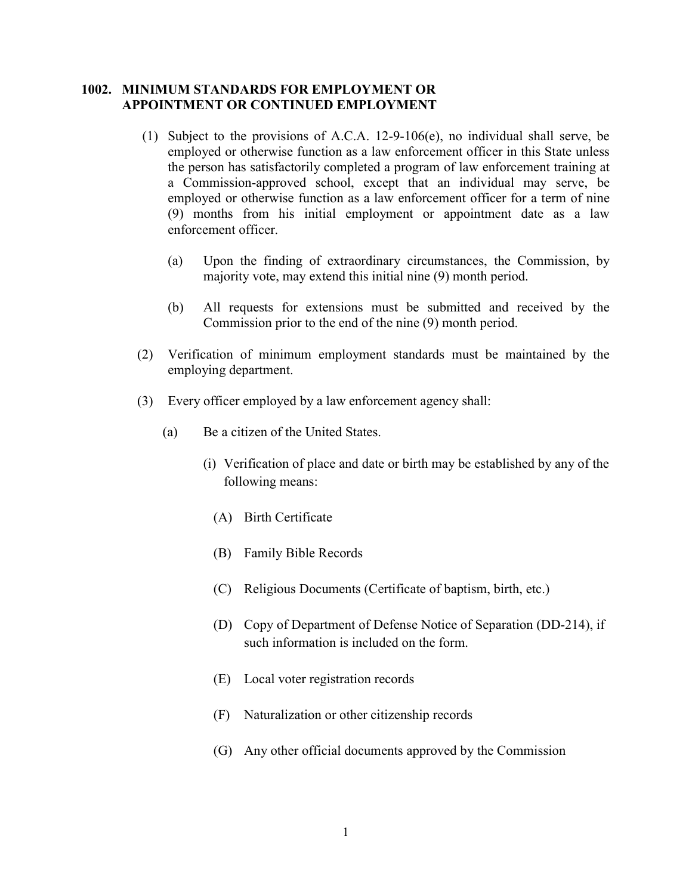## 1002. MINIMUM STANDARDS FOR EMPLOYMENT OR APPOINTMENT OR CONTINUED EMPLOYMENT

- (1) Subject to the provisions of A.C.A. 12-9-106(e), no individual shall serve, be employed or otherwise function as a law enforcement officer in this State unless the person has satisfactorily completed a program of law enforcement training at a Commission-approved school, except that an individual may serve, be employed or otherwise function as a law enforcement officer for a term of nine (9) months from his initial employment or appointment date as a law enforcement officer.
	- (a) Upon the finding of extraordinary circumstances, the Commission, by majority vote, may extend this initial nine (9) month period.
	- (b) All requests for extensions must be submitted and received by the Commission prior to the end of the nine (9) month period.
- (2) Verification of minimum employment standards must be maintained by the employing department.
- (3) Every officer employed by a law enforcement agency shall:
	- (a) Be a citizen of the United States.
		- (i) Verification of place and date or birth may be established by any of the following means:
			- (A) Birth Certificate
			- (B) Family Bible Records
			- (C) Religious Documents (Certificate of baptism, birth, etc.)
			- (D) Copy of Department of Defense Notice of Separation (DD-214), if such information is included on the form.
			- (E) Local voter registration records
			- (F) Naturalization or other citizenship records
			- (G) Any other official documents approved by the Commission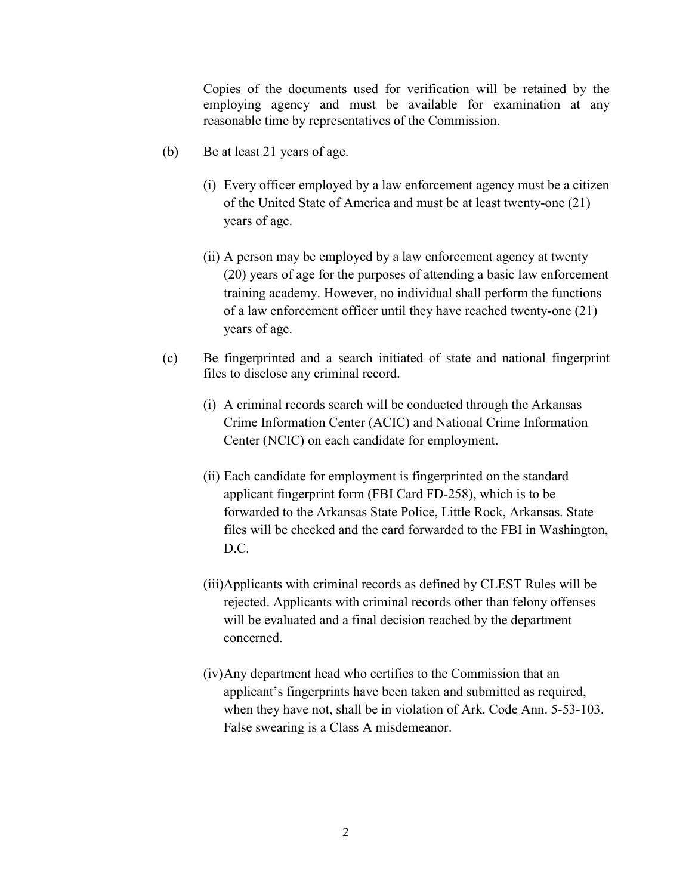Copies of the documents used for verification will be retained by the employing agency and must be available for examination at any reasonable time by representatives of the Commission.

- (b) Be at least 21 years of age.
	- (i) Every officer employed by a law enforcement agency must be a citizen of the United State of America and must be at least twenty-one (21) years of age.
	- (ii) A person may be employed by a law enforcement agency at twenty (20) years of age for the purposes of attending a basic law enforcement training academy. However, no individual shall perform the functions of a law enforcement officer until they have reached twenty-one (21) years of age.
- (c) Be fingerprinted and a search initiated of state and national fingerprint files to disclose any criminal record.
	- (i) A criminal records search will be conducted through the Arkansas Crime Information Center (ACIC) and National Crime Information Center (NCIC) on each candidate for employment.
	- (ii) Each candidate for employment is fingerprinted on the standard applicant fingerprint form (FBI Card FD-258), which is to be forwarded to the Arkansas State Police, Little Rock, Arkansas. State files will be checked and the card forwarded to the FBI in Washington, D.C.
	- (iii)Applicants with criminal records as defined by CLEST Rules will be rejected. Applicants with criminal records other than felony offenses will be evaluated and a final decision reached by the department concerned.
	- (iv)Any department head who certifies to the Commission that an applicant's fingerprints have been taken and submitted as required, when they have not, shall be in violation of Ark. Code Ann. 5-53-103. False swearing is a Class A misdemeanor.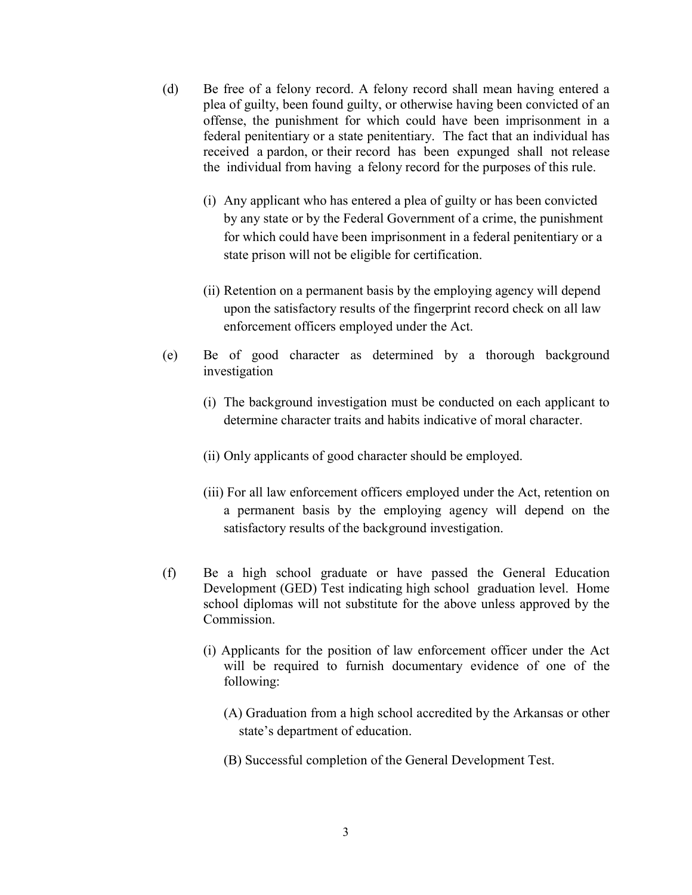- (d) Be free of a felony record. A felony record shall mean having entered a plea of guilty, been found guilty, or otherwise having been convicted of an offense, the punishment for which could have been imprisonment in a federal penitentiary or a state penitentiary. The fact that an individual has received a pardon, or their record has been expunged shall not release the individual from having a felony record for the purposes of this rule.
	- (i) Any applicant who has entered a plea of guilty or has been convicted by any state or by the Federal Government of a crime, the punishment for which could have been imprisonment in a federal penitentiary or a state prison will not be eligible for certification.
	- (ii) Retention on a permanent basis by the employing agency will depend upon the satisfactory results of the fingerprint record check on all law enforcement officers employed under the Act.
- (e) Be of good character as determined by a thorough background investigation
	- (i) The background investigation must be conducted on each applicant to determine character traits and habits indicative of moral character.
	- (ii) Only applicants of good character should be employed.
	- (iii) For all law enforcement officers employed under the Act, retention on a permanent basis by the employing agency will depend on the satisfactory results of the background investigation.
- (f) Be a high school graduate or have passed the General Education Development (GED) Test indicating high school graduation level. Home school diplomas will not substitute for the above unless approved by the Commission.
	- (i) Applicants for the position of law enforcement officer under the Act will be required to furnish documentary evidence of one of the following:
		- (A) Graduation from a high school accredited by the Arkansas or other state's department of education.
		- (B) Successful completion of the General Development Test.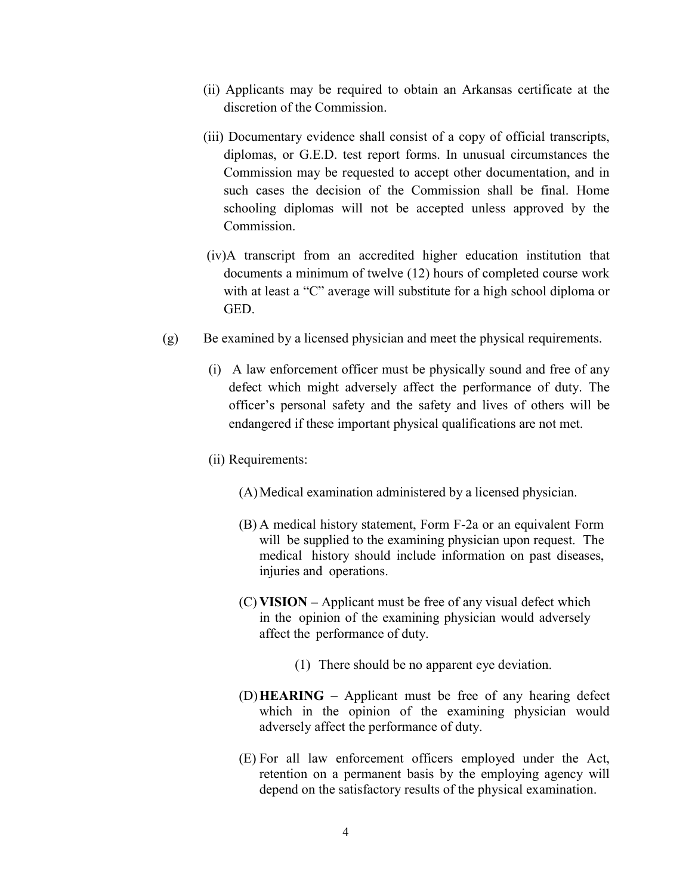- (ii) Applicants may be required to obtain an Arkansas certificate at the discretion of the Commission.
- (iii) Documentary evidence shall consist of a copy of official transcripts, diplomas, or G.E.D. test report forms. In unusual circumstances the Commission may be requested to accept other documentation, and in such cases the decision of the Commission shall be final. Home schooling diplomas will not be accepted unless approved by the Commission.
- (iv)A transcript from an accredited higher education institution that documents a minimum of twelve (12) hours of completed course work with at least a "C" average will substitute for a high school diploma or GED.
- (g) Be examined by a licensed physician and meet the physical requirements.
	- (i) A law enforcement officer must be physically sound and free of any defect which might adversely affect the performance of duty. The officer's personal safety and the safety and lives of others will be endangered if these important physical qualifications are not met.
	- (ii) Requirements:
		- (A)Medical examination administered by a licensed physician.
		- (B) A medical history statement, Form F-2a or an equivalent Form will be supplied to the examining physician upon request. The medical history should include information on past diseases, injuries and operations.
		- (C) VISION Applicant must be free of any visual defect which in the opinion of the examining physician would adversely affect the performance of duty.
			- (1) There should be no apparent eye deviation.
		- (D)HEARING Applicant must be free of any hearing defect which in the opinion of the examining physician would adversely affect the performance of duty.
		- (E) For all law enforcement officers employed under the Act, retention on a permanent basis by the employing agency will depend on the satisfactory results of the physical examination.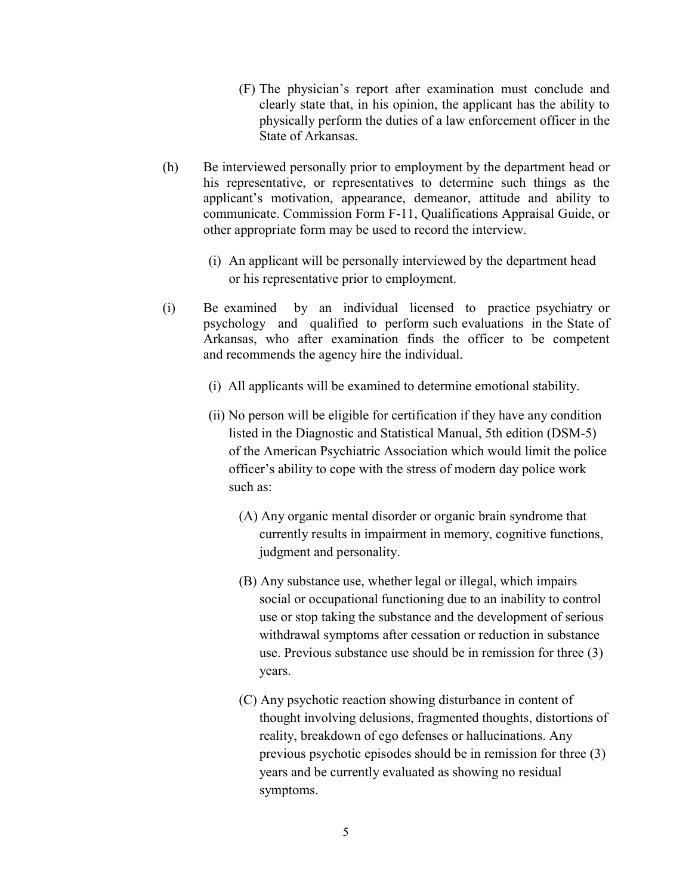- (F) The physician's report after examination must conclude and clearly state that, in his opinion, the applicant has the ability to physically perform the duties of a law enforcement officer in the State of Arkansas.
- (h) Be interviewed personally prior to employment by the department head or his representative, or representatives to determine such things as the applicant's motivation, appearance, demeanor, attitude and ability to communicate. Commission Form F-11, Qualifications Appraisal Guide, or other appropriate form may be used to record the interview.
	- (i) An applicant will be personally interviewed by the department head or his representative prior to employment.
- (i) Be examined by an individual licensed to practice psychiatry or psychology and qualified to perform such evaluations in the State of Arkansas, who after examination finds the officer to be competent and recommends the agency hire the individual.
	- (i) All applicants will be examined to determine emotional stability.
	- (ii) No person will be eligible for certification if they have any condition listed in the Diagnostic and Statistical Manual, 5th edition (DSM-5) of the American Psychiatric Association which would limit the police officer's ability to cope with the stress of modern day police work such as:
		- (A) Any organic mental disorder or organic brain syndrome that currently results in impairment in memory, cognitive functions, judgment and personality.
		- (B) Any substance use, whether legal or illegal, which impairs social or occupational functioning due to an inability to control use or stop taking the substance and the development of serious withdrawal symptoms after cessation or reduction in substance use. Previous substance use should be in remission for three (3) years.
		- (C) Any psychotic reaction showing disturbance in content of thought involving delusions, fragmented thoughts, distortions of reality, breakdown of ego defenses or hallucinations. Any previous psychotic episodes should be in remission for three (3) years and be currently evaluated as showing no residual symptoms.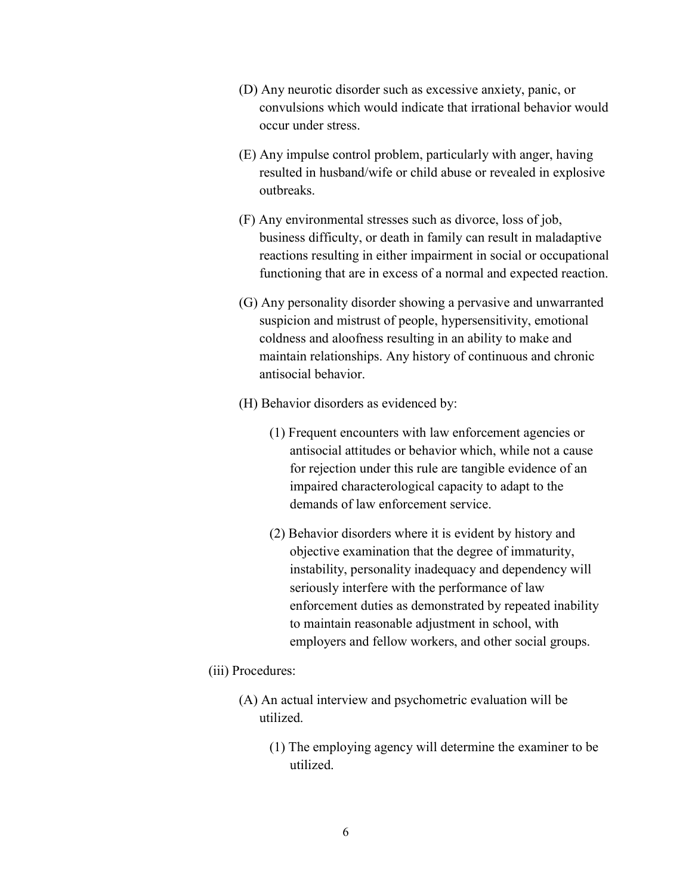- (D) Any neurotic disorder such as excessive anxiety, panic, or convulsions which would indicate that irrational behavior would occur under stress.
- (E) Any impulse control problem, particularly with anger, having resulted in husband/wife or child abuse or revealed in explosive outbreaks.
- (F) Any environmental stresses such as divorce, loss of job, business difficulty, or death in family can result in maladaptive reactions resulting in either impairment in social or occupational functioning that are in excess of a normal and expected reaction.
- (G) Any personality disorder showing a pervasive and unwarranted suspicion and mistrust of people, hypersensitivity, emotional coldness and aloofness resulting in an ability to make and maintain relationships. Any history of continuous and chronic antisocial behavior.
- (H) Behavior disorders as evidenced by:
	- (1) Frequent encounters with law enforcement agencies or antisocial attitudes or behavior which, while not a cause for rejection under this rule are tangible evidence of an impaired characterological capacity to adapt to the demands of law enforcement service.
	- (2) Behavior disorders where it is evident by history and objective examination that the degree of immaturity, instability, personality inadequacy and dependency will seriously interfere with the performance of law enforcement duties as demonstrated by repeated inability to maintain reasonable adjustment in school, with employers and fellow workers, and other social groups.
- (iii) Procedures:
	- (A) An actual interview and psychometric evaluation will be utilized.
		- (1) The employing agency will determine the examiner to be utilized.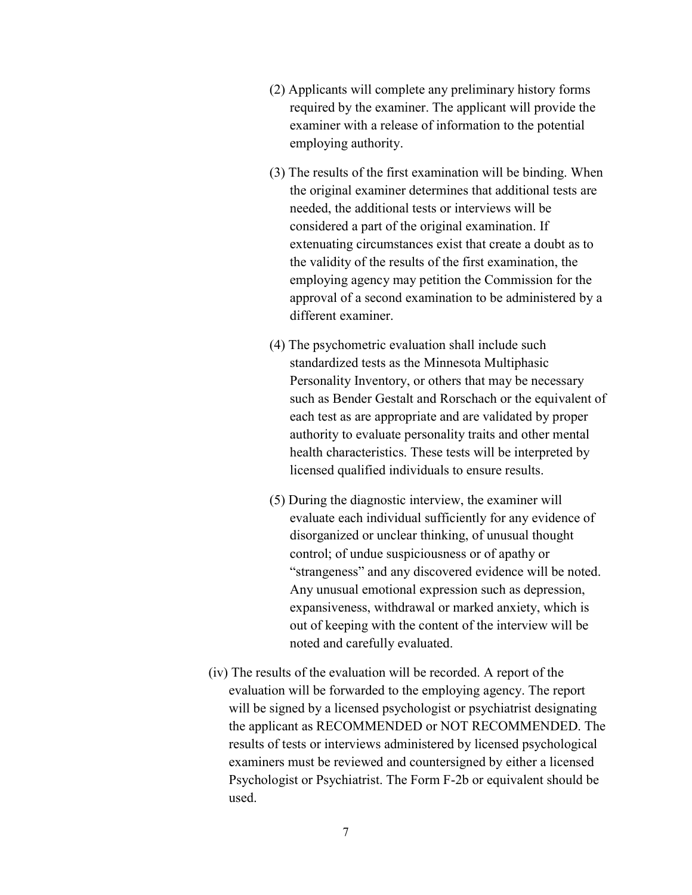- (2) Applicants will complete any preliminary history forms required by the examiner. The applicant will provide the examiner with a release of information to the potential employing authority.
- (3) The results of the first examination will be binding. When the original examiner determines that additional tests are needed, the additional tests or interviews will be considered a part of the original examination. If extenuating circumstances exist that create a doubt as to the validity of the results of the first examination, the employing agency may petition the Commission for the approval of a second examination to be administered by a different examiner.
- (4) The psychometric evaluation shall include such standardized tests as the Minnesota Multiphasic Personality Inventory, or others that may be necessary such as Bender Gestalt and Rorschach or the equivalent of each test as are appropriate and are validated by proper authority to evaluate personality traits and other mental health characteristics. These tests will be interpreted by licensed qualified individuals to ensure results.
- (5) During the diagnostic interview, the examiner will evaluate each individual sufficiently for any evidence of disorganized or unclear thinking, of unusual thought control; of undue suspiciousness or of apathy or "strangeness" and any discovered evidence will be noted. Any unusual emotional expression such as depression, expansiveness, withdrawal or marked anxiety, which is out of keeping with the content of the interview will be noted and carefully evaluated.
- (iv) The results of the evaluation will be recorded. A report of the evaluation will be forwarded to the employing agency. The report will be signed by a licensed psychologist or psychiatrist designating the applicant as RECOMMENDED or NOT RECOMMENDED. The results of tests or interviews administered by licensed psychological examiners must be reviewed and countersigned by either a licensed Psychologist or Psychiatrist. The Form F-2b or equivalent should be used.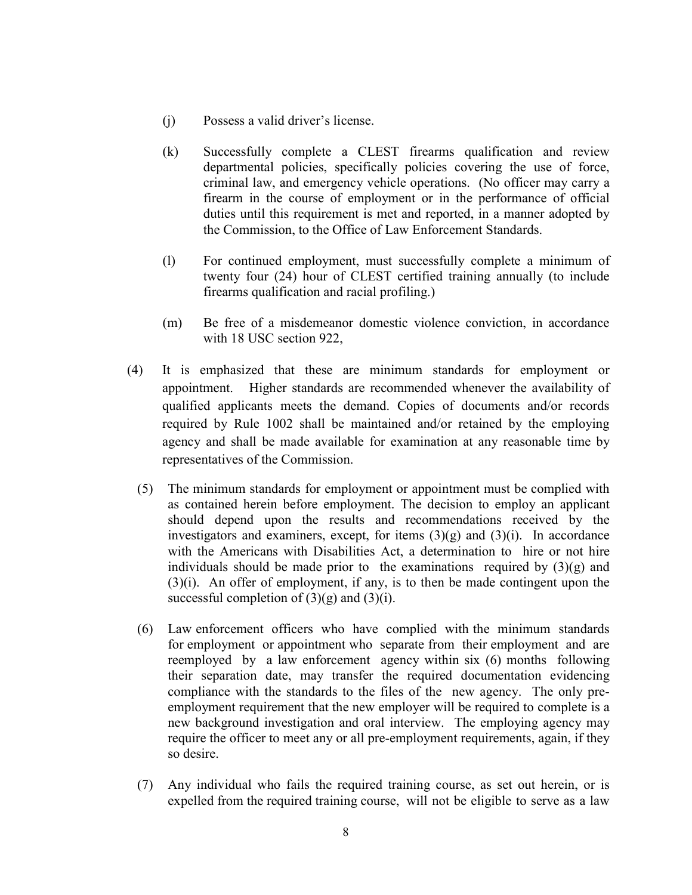- (j) Possess a valid driver's license.
- (k) Successfully complete a CLEST firearms qualification and review departmental policies, specifically policies covering the use of force, criminal law, and emergency vehicle operations. (No officer may carry a firearm in the course of employment or in the performance of official duties until this requirement is met and reported, in a manner adopted by the Commission, to the Office of Law Enforcement Standards.
- (l) For continued employment, must successfully complete a minimum of twenty four (24) hour of CLEST certified training annually (to include firearms qualification and racial profiling.)
- (m) Be free of a misdemeanor domestic violence conviction, in accordance with 18 USC section 922,
- (4) It is emphasized that these are minimum standards for employment or appointment. Higher standards are recommended whenever the availability of qualified applicants meets the demand. Copies of documents and/or records required by Rule 1002 shall be maintained and/or retained by the employing agency and shall be made available for examination at any reasonable time by representatives of the Commission.
	- (5) The minimum standards for employment or appointment must be complied with as contained herein before employment. The decision to employ an applicant should depend upon the results and recommendations received by the investigators and examiners, except, for items  $(3)(g)$  and  $(3)(i)$ . In accordance with the Americans with Disabilities Act, a determination to hire or not hire individuals should be made prior to the examinations required by  $(3)(g)$  and (3)(i). An offer of employment, if any, is to then be made contingent upon the successful completion of  $(3)(g)$  and  $(3)(i)$ .
	- (6) Law enforcement officers who have complied with the minimum standards for employment or appointment who separate from their employment and are reemployed by a law enforcement agency within six (6) months following their separation date, may transfer the required documentation evidencing compliance with the standards to the files of the new agency. The only preemployment requirement that the new employer will be required to complete is a new background investigation and oral interview. The employing agency may require the officer to meet any or all pre-employment requirements, again, if they so desire.
	- (7) Any individual who fails the required training course, as set out herein, or is expelled from the required training course, will not be eligible to serve as a law